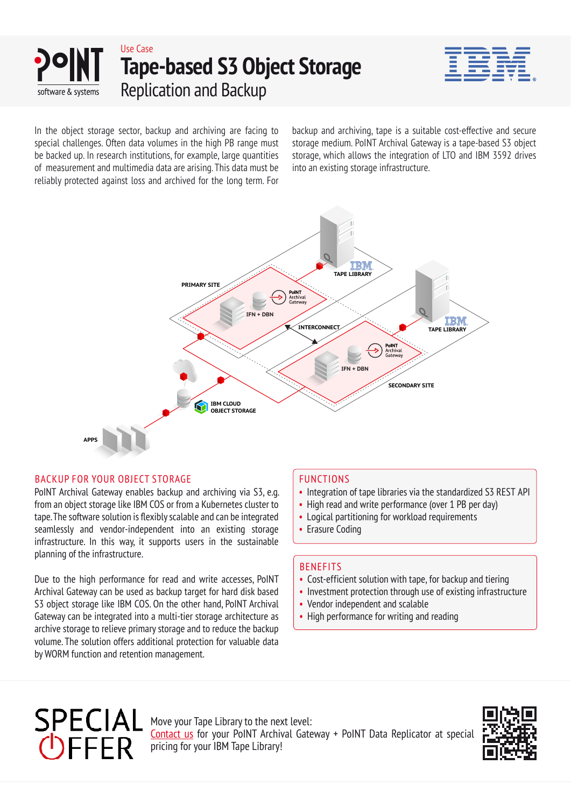



In the object storage sector, backup and archiving are facing to special challenges. Often data volumes in the high PB range must be backed up. In research institutions, for example, large quantities of measurement and multimedia data are arising. This data must be reliably protected against loss and archived for the long term. For

backup and archiving, tape is a suitable cost-effective and secure storage medium. PoINT Archival Gateway is a tape-based S3 object storage, which allows the integration of LTO and IBM 3592 drives into an existing storage infrastructure.



## BACKUP FOR YOUR OBJECT STORAGE

PoINT Archival Gateway enables backup and archiving via S3, e.g. from an object storage like IBM COS or from a Kubernetes cluster to tape. The software solution is flexibly scalable and can be integrated seamlessly and vendor-independent into an existing storage infrastructure. In this way, it supports users in the sustainable planning of the infrastructure.

Due to the high performance for read and write accesses, PoINT Archival Gateway can be used as backup target for hard disk based S3 object storage like IBM COS. On the other hand, PoINT Archival Gateway can be integrated into a multi-tier storage architecture as archive storage to relieve primary storage and to reduce the backup volume. The solution offers additional protection for valuable data by WORM function and retention management.

### FUNCTIONS

- Integration of tape libraries via the standardized S3 REST API
- High read and write performance (over 1 PB per day)
- Logical partitioning for workload requirements
- Erasure Coding

### BENEFITS

- Cost-efficient solution with tape, for backup and tiering
- Investment protection through use of existing infrastructure
- Vendor independent and scalable
- High performance for writing and reading

**SPECIAL<br>UFFER** 

Move your Tape Library to the next level: [Contact us](mailto:Contact%20us?subject=sales%40point.de) for your PoINT Archival Gateway + PoINT Data Replicator at special pricing for your IBM Tape Library!